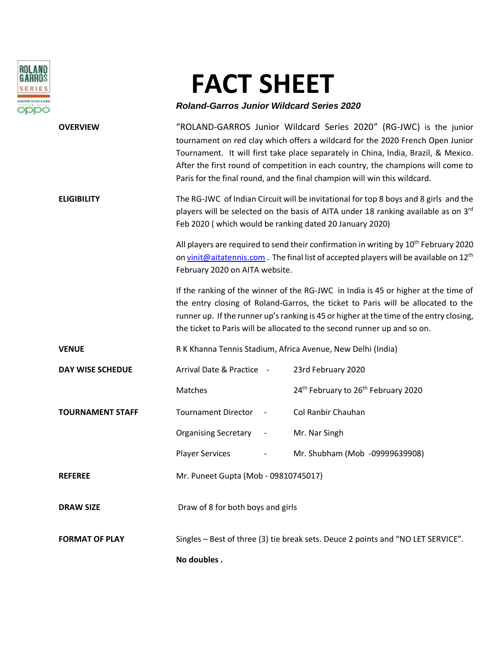

## **FACT SHEET**

## *Roland-Garros Junior Wildcard Series 2020*

| <b>OVERVIEW</b>         | "ROLAND-GARROS Junior Wildcard Series 2020" (RG-JWC) is the junior<br>tournament on red clay which offers a wildcard for the 2020 French Open Junior<br>Tournament. It will first take place separately in China, India, Brazil, & Mexico.<br>After the first round of competition in each country, the champions will come to<br>Paris for the final round, and the final champion will win this wildcard. |                                                             |
|-------------------------|-------------------------------------------------------------------------------------------------------------------------------------------------------------------------------------------------------------------------------------------------------------------------------------------------------------------------------------------------------------------------------------------------------------|-------------------------------------------------------------|
| <b>ELIGIBILITY</b>      | The RG-JWC of Indian Circuit will be invitational for top 8 boys and 8 girls and the<br>players will be selected on the basis of AITA under 18 ranking available as on 3rd<br>Feb 2020 (which would be ranking dated 20 January 2020)                                                                                                                                                                       |                                                             |
|                         | All players are required to send their confirmation in writing by 10 <sup>th</sup> February 2020<br>on vinit@aitatennis.com The final list of accepted players will be available on 12 <sup>th</sup><br>February 2020 on AITA website.                                                                                                                                                                      |                                                             |
|                         | If the ranking of the winner of the RG-JWC in India is 45 or higher at the time of<br>the entry closing of Roland-Garros, the ticket to Paris will be allocated to the<br>runner up. If the runner up's ranking is 45 or higher at the time of the entry closing,<br>the ticket to Paris will be allocated to the second runner up and so on.                                                               |                                                             |
| <b>VENUE</b>            | R K Khanna Tennis Stadium, Africa Avenue, New Delhi (India)                                                                                                                                                                                                                                                                                                                                                 |                                                             |
| <b>DAY WISE SCHEDUE</b> | Arrival Date & Practice -                                                                                                                                                                                                                                                                                                                                                                                   | 23rd February 2020                                          |
|                         | Matches                                                                                                                                                                                                                                                                                                                                                                                                     | 24 <sup>th</sup> February to 26 <sup>th</sup> February 2020 |
| <b>TOURNAMENT STAFF</b> | <b>Tournament Director</b>                                                                                                                                                                                                                                                                                                                                                                                  | Col Ranbir Chauhan                                          |
|                         | <b>Organising Secretary</b>                                                                                                                                                                                                                                                                                                                                                                                 | Mr. Nar Singh                                               |
|                         | <b>Player Services</b>                                                                                                                                                                                                                                                                                                                                                                                      | Mr. Shubham (Mob -09999639908)                              |
| <b>REFEREE</b>          | Mr. Puneet Gupta (Mob - 09810745017)                                                                                                                                                                                                                                                                                                                                                                        |                                                             |
| <b>DRAW SIZE</b>        | Draw of 8 for both boys and girls                                                                                                                                                                                                                                                                                                                                                                           |                                                             |
| <b>FORMAT OF PLAY</b>   | Singles - Best of three (3) tie break sets. Deuce 2 points and "NO LET SERVICE".                                                                                                                                                                                                                                                                                                                            |                                                             |
|                         | No doubles.                                                                                                                                                                                                                                                                                                                                                                                                 |                                                             |